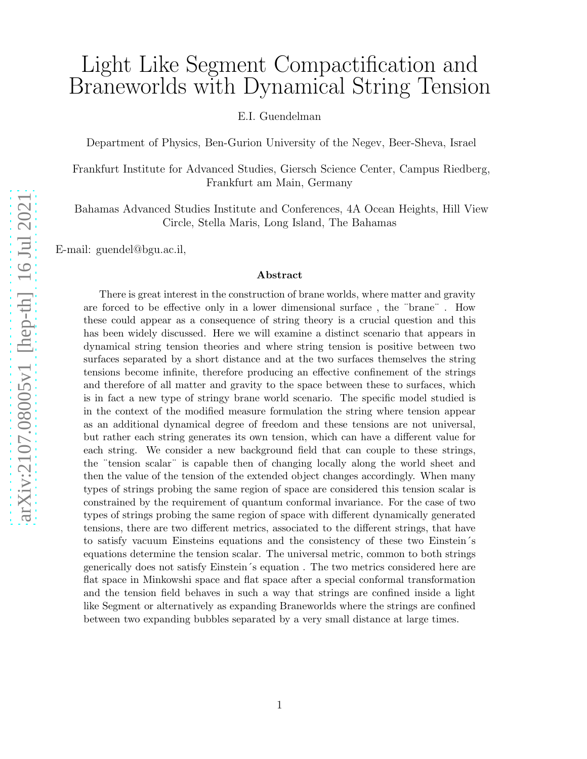# Light Like Segment Compactification and Braneworlds with Dynamical String Tension

E.I. Guendelman

Department of Physics, Ben-Gurion University of the Negev, Beer-Sheva, Israel

Frankfurt Institute for Advanced Studies, Giersch Science Center, Campus Riedberg, Frankfurt am Main, Germany

Bahamas Advanced Studies Institute and Conferences, 4A Ocean Heights, Hill View Circle, Stella Maris, Long Island, The Bahamas

E-mail: guendel@bgu.ac.il,

#### Abstract

There is great interest in the construction of brane worlds, where matter and gravity are forced to be effective only in a lower dimensional surface, the "brane". How these could appear as a consequence of string theory is a crucial question and this has been widely discussed. Here we will examine a distinct scenario that appears in dynamical string tension theories and where string tension is positive between two surfaces separated by a short distance and at the two surfaces themselves the string tensions become infinite, therefore producing an effective confinement of the strings and therefore of all matter and gravity to the space between these to surfaces, which is in fact a new type of stringy brane world scenario. The specific model studied is in the context of the modified measure formulation the string where tension appear as an additional dynamical degree of freedom and these tensions are not universal, but rather each string generates its own tension, which can have a different value for each string. We consider a new background field that can couple to these strings, the ¨tension scalar ¨ is capable then of changing locally along the world sheet and then the value of the tension of the extended object changes accordingly. When many types of strings probing the same region of space are considered this tension scalar is constrained by the requirement of quantum conformal invariance. For the case of two types of strings probing the same region of space with different dynamically generated tensions, there are two different metrics, associated to the different strings, that have to satisfy vacuum Einsteins equations and the consistency of these two Einstein's equations determine the tension scalar. The universal metric, common to both strings generically does not satisfy Einstein ´s equation . The two metrics considered here are flat space in Minkowshi space and flat space after a special conformal transformation and the tension field behaves in such a way that strings are confined inside a light like Segment or alternatively as expanding Braneworlds where the strings are confined between two expanding bubbles separated by a very small distance at large times.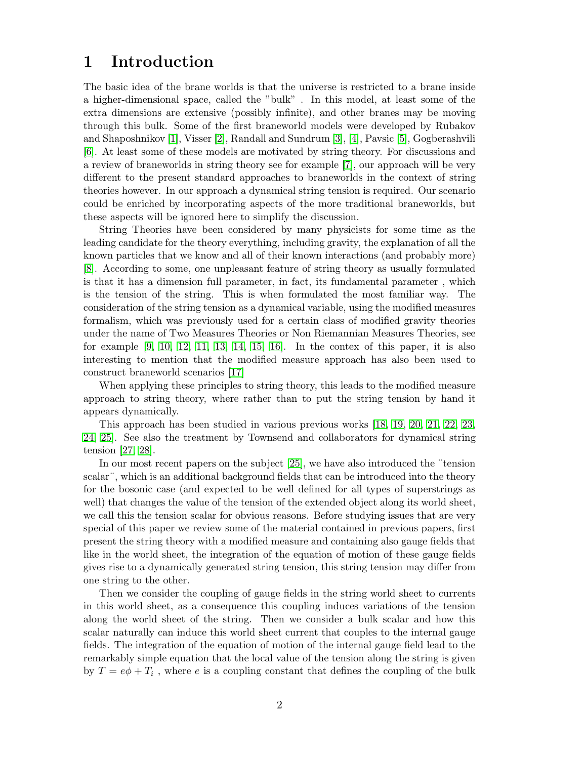### 1 Introduction

The basic idea of the brane worlds is that the universe is restricted to a brane inside a higher-dimensional space, called the "bulk" . In this model, at least some of the extra dimensions are extensive (possibly infinite), and other branes may be moving through this bulk. Some of the first braneworld models were developed by Rubakov and Shaposhnikov [\[1\]](#page-12-0), Visser [\[2\]](#page-12-1), Randall and Sundrum [\[3\]](#page-12-2), [\[4\]](#page-12-3), Pavsic [\[5\]](#page-12-4), Gogberashvili [\[6\]](#page-12-5). At least some of these models are motivated by string theory. For discussions and a review of braneworlds in string theory see for example [7], our approach will be very different to the present standard approaches to braneworlds in the context of string theories however. In our approach a dynamical string tension is required. Our scenario could be enriched by incorporating aspects of the more traditional braneworlds, but these aspects will be ignored here to simplify the discussion.

String Theories have been considered by many physicists for some time as the leading candidate for the theory everything, including gravity, the explanation of all the known particles that we know and all of their known interactions (and probably more) [\[8\]](#page-13-0). According to some, one unpleasant feature of string theory as usually formulated is that it has a dimension full parameter, in fact, its fundamental parameter , which is the tension of the string. This is when formulated the most familiar way. The consideration of the string tension as a dynamical variable, using the modified measures formalism, which was previously used for a certain class of modified gravity theories under the name of Two Measures Theories or Non Riemannian Measures Theories, see for example  $[9, 10, 12, 11, 13, 14, 15, 16]$  $[9, 10, 12, 11, 13, 14, 15, 16]$  $[9, 10, 12, 11, 13, 14, 15, 16]$  $[9, 10, 12, 11, 13, 14, 15, 16]$  $[9, 10, 12, 11, 13, 14, 15, 16]$  $[9, 10, 12, 11, 13, 14, 15, 16]$  $[9, 10, 12, 11, 13, 14, 15, 16]$  $[9, 10, 12, 11, 13, 14, 15, 16]$ . In the contex of this paper, it is also interesting to mention that the modified measure approach has also been used to construct braneworld scenarios [17]

When applying these principles to string theory, this leads to the modified measure approach to string theory, where rather than to put the string tension by hand it appears dynamically.

This approach has been studied in various previous works [\[18,](#page-13-9) [19,](#page-13-10) [20,](#page-13-11) [21,](#page-13-12) [22,](#page-13-13) [23,](#page-13-14) [24,](#page-13-15) [25\]](#page-13-16). See also the treatment by Townsend and collaborators for dynamical string tension [\[27,](#page-13-17) [28\]](#page-14-0).

In our most recent papers on the subject [\[25\]](#page-13-16), we have also introduced the ¨tension scalar¨, which is an additional background fields that can be introduced into the theory for the bosonic case (and expected to be well defined for all types of superstrings as well) that changes the value of the tension of the extended object along its world sheet, we call this the tension scalar for obvious reasons. Before studying issues that are very special of this paper we review some of the material contained in previous papers, first present the string theory with a modified measure and containing also gauge fields that like in the world sheet, the integration of the equation of motion of these gauge fields gives rise to a dynamically generated string tension, this string tension may differ from one string to the other.

Then we consider the coupling of gauge fields in the string world sheet to currents in this world sheet, as a consequence this coupling induces variations of the tension along the world sheet of the string. Then we consider a bulk scalar and how this scalar naturally can induce this world sheet current that couples to the internal gauge fields. The integration of the equation of motion of the internal gauge field lead to the remarkably simple equation that the local value of the tension along the string is given by  $T = e\phi + T_i$ , where e is a coupling constant that defines the coupling of the bulk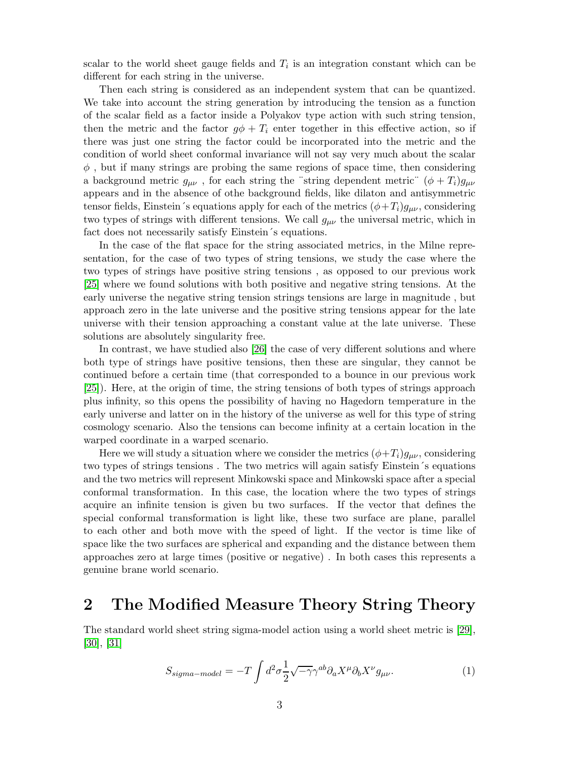scalar to the world sheet gauge fields and  $T_i$  is an integration constant which can be different for each string in the universe.

Then each string is considered as an independent system that can be quantized. We take into account the string generation by introducing the tension as a function of the scalar field as a factor inside a Polyakov type action with such string tension, then the metric and the factor  $g\phi + T_i$  enter together in this effective action, so if there was just one string the factor could be incorporated into the metric and the condition of world sheet conformal invariance will not say very much about the scalar  $\phi$ , but if many strings are probing the same regions of space time, then considering a background metric  $g_{\mu\nu}$ , for each string the "string dependent metric"  $(\phi + T_i)g_{\mu\nu}$ appears and in the absence of othe background fields, like dilaton and antisymmetric tensor fields, Einstein´s equations apply for each of the metrics  $(\phi + T_i)g_{\mu\nu}$ , considering two types of strings with different tensions. We call  $g_{\mu\nu}$  the universal metric, which in fact does not necessarily satisfy Einstein´s equations.

In the case of the flat space for the string associated metrics, in the Milne representation, for the case of two types of string tensions, we study the case where the two types of strings have positive string tensions , as opposed to our previous work [\[25\]](#page-13-16) where we found solutions with both positive and negative string tensions. At the early universe the negative string tension strings tensions are large in magnitude , but approach zero in the late universe and the positive string tensions appear for the late universe with their tension approaching a constant value at the late universe. These solutions are absolutely singularity free.

In contrast, we have studied also [\[26\]](#page-13-18) the case of very different solutions and where both type of strings have positive tensions, then these are singular, they cannot be continued before a certain time (that corresponded to a bounce in our previous work [\[25\]](#page-13-16)). Here, at the origin of time, the string tensions of both types of strings approach plus infinity, so this opens the possibility of having no Hagedorn temperature in the early universe and latter on in the history of the universe as well for this type of string cosmology scenario. Also the tensions can become infinity at a certain location in the warped coordinate in a warped scenario.

Here we will study a situation where we consider the metrics  $(\phi + T_i)g_{\mu\nu}$ , considering two types of strings tensions . The two metrics will again satisfy Einstein´s equations and the two metrics will represent Minkowski space and Minkowski space after a special conformal transformation. In this case, the location where the two types of strings acquire an infinite tension is given bu two surfaces. If the vector that defines the special conformal transformation is light like, these two surface are plane, parallel to each other and both move with the speed of light. If the vector is time like of space like the two surfaces are spherical and expanding and the distance between them approaches zero at large times (positive or negative) . In both cases this represents a genuine brane world scenario.

### 2 The Modified Measure Theory String Theory

The standard world sheet string sigma-model action using a world sheet metric is [\[29\]](#page-14-1), [\[30\]](#page-14-2), [\[31\]](#page-14-3)

<span id="page-2-0"></span>
$$
S_{sigma-model} = -T \int d^2 \sigma \frac{1}{2} \sqrt{-\gamma} \gamma^{ab} \partial_a X^\mu \partial_b X^\nu g_{\mu\nu}.
$$
 (1)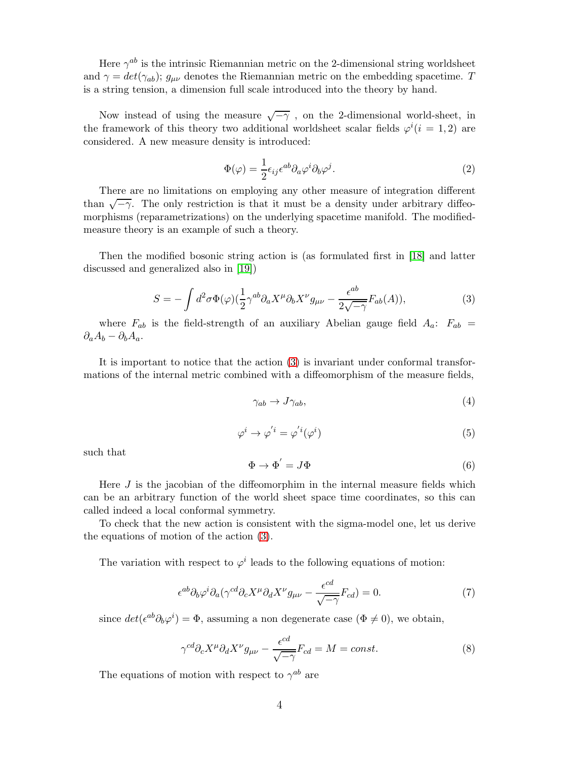Here  $\gamma^{ab}$  is the intrinsic Riemannian metric on the 2-dimensional string worldsheet and  $\gamma = det(\gamma_{ab})$ ;  $g_{\mu\nu}$  denotes the Riemannian metric on the embedding spacetime. T is a string tension, a dimension full scale introduced into the theory by hand.

Now instead of using the measure  $\sqrt{-\gamma}$  , on the 2-dimensional world-sheet, in the framework of this theory two additional worldsheet scalar fields  $\varphi^{i}$  (i = 1, 2) are considered. A new measure density is introduced:

$$
\Phi(\varphi) = \frac{1}{2} \epsilon_{ij} \epsilon^{ab} \partial_a \varphi^i \partial_b \varphi^j.
$$
\n(2)

There are no limitations on employing any other measure of integration different than  $\sqrt{-\gamma}$ . The only restriction is that it must be a density under arbitrary diffeomorphisms (reparametrizations) on the underlying spacetime manifold. The modifiedmeasure theory is an example of such a theory.

Then the modified bosonic string action is (as formulated first in [\[18\]](#page-13-9) and latter discussed and generalized also in [\[19\]](#page-13-10))

<span id="page-3-0"></span>
$$
S = -\int d^2\sigma \Phi(\varphi) \left(\frac{1}{2}\gamma^{ab}\partial_a X^\mu \partial_b X^\nu g_{\mu\nu} - \frac{\epsilon^{ab}}{2\sqrt{-\gamma}} F_{ab}(A)\right),\tag{3}
$$

where  $F_{ab}$  is the field-strength of an auxiliary Abelian gauge field  $A_a$ :  $F_{ab}$  =  $\partial_a A_b - \partial_b A_a.$ 

It is important to notice that the action [\(3\)](#page-3-0) is invariant under conformal transformations of the internal metric combined with a diffeomorphism of the measure fields,

$$
\gamma_{ab} \to J\gamma_{ab},\tag{4}
$$

$$
\varphi^i \to \varphi^{'i} = \varphi^{'i}(\varphi^i)
$$
 (5)

such that

$$
\Phi \to \Phi' = J\Phi \tag{6}
$$

Here  $J$  is the jacobian of the diffeomorphim in the internal measure fields which can be an arbitrary function of the world sheet space time coordinates, so this can called indeed a local conformal symmetry.

To check that the new action is consistent with the sigma-model one, let us derive the equations of motion of the action [\(3\)](#page-3-0).

The variation with respect to  $\varphi^i$  leads to the following equations of motion:

$$
\epsilon^{ab}\partial_b\varphi^i\partial_a(\gamma^{cd}\partial_cX^\mu\partial_dX^\nu g_{\mu\nu} - \frac{\epsilon^{cd}}{\sqrt{-\gamma}}F_{cd}) = 0. \tag{7}
$$

since  $det(\epsilon^{ab}\partial_b\varphi^i) = \Phi$ , assuming a non degenerate case  $(\Phi \neq 0)$ , we obtain,

<span id="page-3-1"></span>
$$
\gamma^{cd}\partial_c X^\mu \partial_d X^\nu g_{\mu\nu} - \frac{\epsilon^{cd}}{\sqrt{-\gamma}} F_{cd} = M = const.
$$
\n(8)

The equations of motion with respect to  $\gamma^{ab}$  are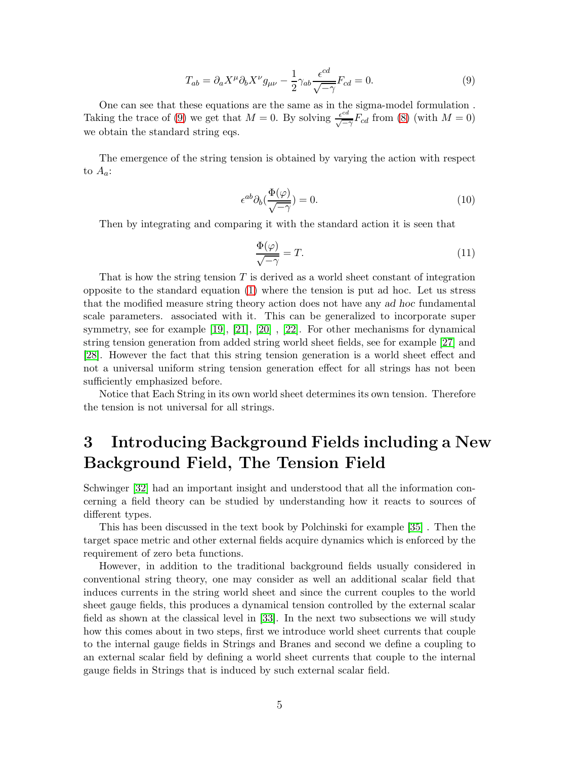<span id="page-4-0"></span>
$$
T_{ab} = \partial_a X^\mu \partial_b X^\nu g_{\mu\nu} - \frac{1}{2} \gamma_{ab} \frac{\epsilon^{cd}}{\sqrt{-\gamma}} F_{cd} = 0.
$$
 (9)

One can see that these equations are the same as in the sigma-model formulation . Taking the trace of [\(9\)](#page-4-0) we get that  $M = 0$ . By solving  $\frac{e^{cd}}{\sqrt{d}}$  $\frac{\epsilon^{ca}}{\sqrt{-\gamma}}F_{cd}$  from [\(8\)](#page-3-1) (with  $M=0$ ) we obtain the standard string eqs.

The emergence of the string tension is obtained by varying the action with respect to  $A_a$ :

$$
\epsilon^{ab}\partial_b(\frac{\Phi(\varphi)}{\sqrt{-\gamma}}) = 0. \tag{10}
$$

Then by integrating and comparing it with the standard action it is seen that

$$
\frac{\Phi(\varphi)}{\sqrt{-\gamma}} = T.
$$
\n(11)

That is how the string tension  $T$  is derived as a world sheet constant of integration opposite to the standard equation [\(1\)](#page-2-0) where the tension is put ad hoc. Let us stress that the modified measure string theory action does not have any ad hoc fundamental scale parameters. associated with it. This can be generalized to incorporate super symmetry, see for example [\[19\]](#page-13-10), [\[21\]](#page-13-12), [\[20\]](#page-13-11) , [\[22\]](#page-13-13). For other mechanisms for dynamical string tension generation from added string world sheet fields, see for example [\[27\]](#page-13-17) and [\[28\]](#page-14-0). However the fact that this string tension generation is a world sheet effect and not a universal uniform string tension generation effect for all strings has not been sufficiently emphasized before.

Notice that Each String in its own world sheet determines its own tension. Therefore the tension is not universal for all strings.

# 3 Introducing Background Fields including a New Background Field, The Tension Field

Schwinger [\[32\]](#page-14-4) had an important insight and understood that all the information concerning a field theory can be studied by understanding how it reacts to sources of different types.

This has been discussed in the text book by Polchinski for example [\[35\]](#page-14-5) . Then the target space metric and other external fields acquire dynamics which is enforced by the requirement of zero beta functions.

However, in addition to the traditional background fields usually considered in conventional string theory, one may consider as well an additional scalar field that induces currents in the string world sheet and since the current couples to the world sheet gauge fields, this produces a dynamical tension controlled by the external scalar field as shown at the classical level in [\[33\]](#page-14-6). In the next two subsections we will study how this comes about in two steps, first we introduce world sheet currents that couple to the internal gauge fields in Strings and Branes and second we define a coupling to an external scalar field by defining a world sheet currents that couple to the internal gauge fields in Strings that is induced by such external scalar field.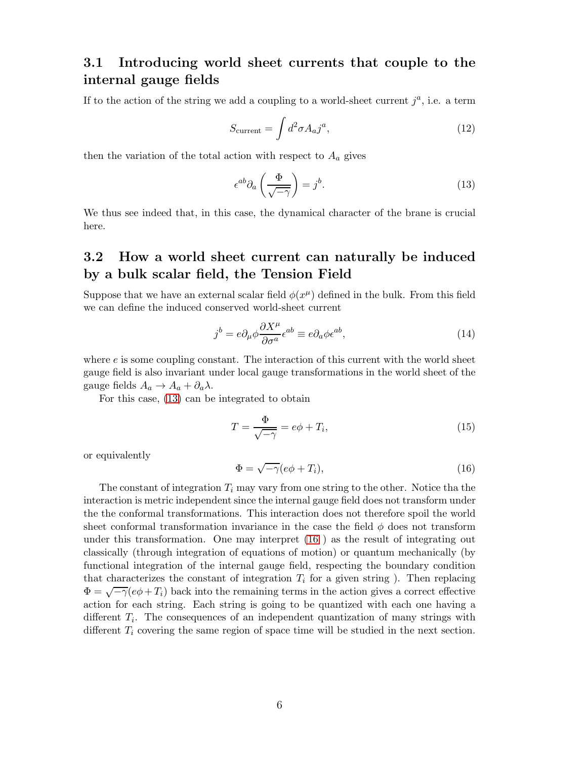### 3.1 Introducing world sheet currents that couple to the internal gauge fields

If to the action of the string we add a coupling to a world-sheet current  $j^a$ , i.e. a term

$$
S_{\text{current}} = \int d^2 \sigma A_a j^a,\tag{12}
$$

then the variation of the total action with respect to  $A_a$  gives

<span id="page-5-0"></span>
$$
\epsilon^{ab}\partial_a\left(\frac{\Phi}{\sqrt{-\gamma}}\right) = j^b. \tag{13}
$$

We thus see indeed that, in this case, the dynamical character of the brane is crucial here.

### 3.2 How a world sheet current can naturally be induced by a bulk scalar field, the Tension Field

Suppose that we have an external scalar field  $\phi(x^{\mu})$  defined in the bulk. From this field we can define the induced conserved world-sheet current

$$
j^{b} = e\partial_{\mu}\phi \frac{\partial X^{\mu}}{\partial \sigma^{a}} \epsilon^{ab} \equiv e\partial_{a}\phi \epsilon^{ab}, \qquad (14)
$$

where  $e$  is some coupling constant. The interaction of this current with the world sheet gauge field is also invariant under local gauge transformations in the world sheet of the gauge fields  $A_a \rightarrow A_a + \partial_a \lambda$ .

For this case, [\(13\)](#page-5-0) can be integrated to obtain

$$
T = \frac{\Phi}{\sqrt{-\gamma}} = e\phi + T_i,
$$
\n(15)

or equivalently

<span id="page-5-1"></span>
$$
\Phi = \sqrt{-\gamma}(e\phi + T_i),\tag{16}
$$

The constant of integration  $T_i$  may vary from one string to the other. Notice tha the interaction is metric independent since the internal gauge field does not transform under the the conformal transformations. This interaction does not therefore spoil the world sheet conformal transformation invariance in the case the field  $\phi$  does not transform under this transformation. One may interpret [\(16](#page-5-1) ) as the result of integrating out classically (through integration of equations of motion) or quantum mechanically (by functional integration of the internal gauge field, respecting the boundary condition that characterizes the constant of integration  $T_i$  for a given string ). Then replacing  $\Phi = \sqrt{-\gamma}(e\phi + T_i)$  back into the remaining terms in the action gives a correct effective action for each string. Each string is going to be quantized with each one having a different  $T_i$ . The consequences of an independent quantization of many strings with different  $T_i$  covering the same region of space time will be studied in the next section.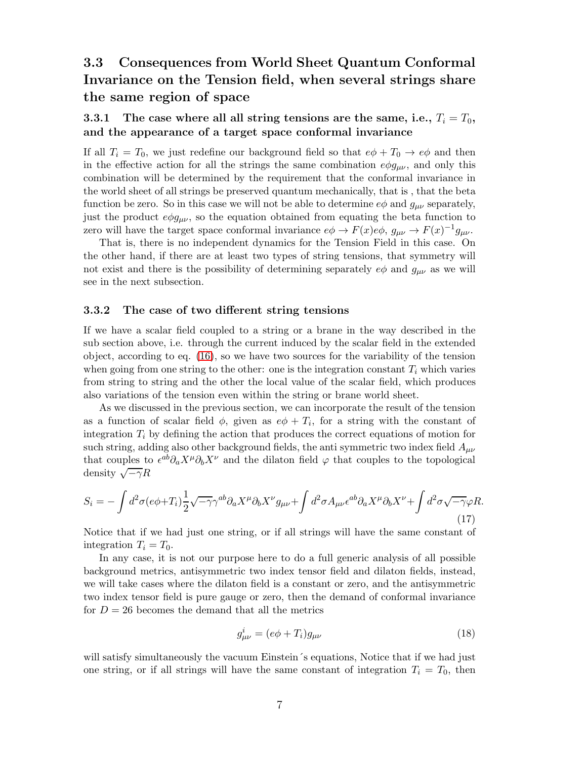## 3.3 Consequences from World Sheet Quantum Conformal Invariance on the Tension field, when several strings share the same region of space

#### 3.3.1 The case where all all string tensions are the same, i.e.,  $T_i = T_0$ , and the appearance of a target space conformal invariance

If all  $T_i = T_0$ , we just redefine our background field so that  $e\phi + T_0 \rightarrow e\phi$  and then in the effective action for all the strings the same combination  $e\phi g_{\mu\nu}$ , and only this combination will be determined by the requirement that the conformal invariance in the world sheet of all strings be preserved quantum mechanically, that is , that the beta function be zero. So in this case we will not be able to determine  $e\phi$  and  $g_{\mu\nu}$  separately, just the product  $e\phi g_{\mu\nu}$ , so the equation obtained from equating the beta function to zero will have the target space conformal invariance  $e\phi \to F(x)e\phi$ ,  $g_{\mu\nu} \to F(x)^{-1}g_{\mu\nu}$ .

That is, there is no independent dynamics for the Tension Field in this case. On the other hand, if there are at least two types of string tensions, that symmetry will not exist and there is the possibility of determining separately  $e\phi$  and  $g_{\mu\nu}$  as we will see in the next subsection.

#### 3.3.2 The case of two different string tensions

If we have a scalar field coupled to a string or a brane in the way described in the sub section above, i.e. through the current induced by the scalar field in the extended object, according to eq. [\(16\)](#page-5-1), so we have two sources for the variability of the tension when going from one string to the other: one is the integration constant  $T_i$  which varies from string to string and the other the local value of the scalar field, which produces also variations of the tension even within the string or brane world sheet.

As we discussed in the previous section, we can incorporate the result of the tension as a function of scalar field  $\phi$ , given as  $e\phi + T_i$ , for a string with the constant of integration  $T_i$  by defining the action that produces the correct equations of motion for such string, adding also other background fields, the anti-symmetric two index field  $A_{\mu\nu}$ that couples to  $\epsilon^{ab}\partial_a X^\mu \partial_b X^\nu$  and the dilaton field  $\varphi$  that couples to the topological density  $\sqrt{-\gamma}R$ 

$$
S_i = -\int d^2\sigma (e\phi + T_i) \frac{1}{2} \sqrt{-\gamma} \gamma^{ab} \partial_a X^\mu \partial_b X^\nu g_{\mu\nu} + \int d^2\sigma A_{\mu\nu} \epsilon^{ab} \partial_a X^\mu \partial_b X^\nu + \int d^2\sigma \sqrt{-\gamma} \varphi R. \tag{17}
$$

Notice that if we had just one string, or if all strings will have the same constant of integration  $T_i = T_0$ .

In any case, it is not our purpose here to do a full generic analysis of all possible background metrics, antisymmetric two index tensor field and dilaton fields, instead, we will take cases where the dilaton field is a constant or zero, and the antisymmetric two index tensor field is pure gauge or zero, then the demand of conformal invariance for  $D = 26$  becomes the demand that all the metrics

<span id="page-6-0"></span>
$$
g_{\mu\nu}^i = (e\phi + T_i)g_{\mu\nu} \tag{18}
$$

will satisfy simultaneously the vacuum Einstein´s equations, Notice that if we had just one string, or if all strings will have the same constant of integration  $T_i = T_0$ , then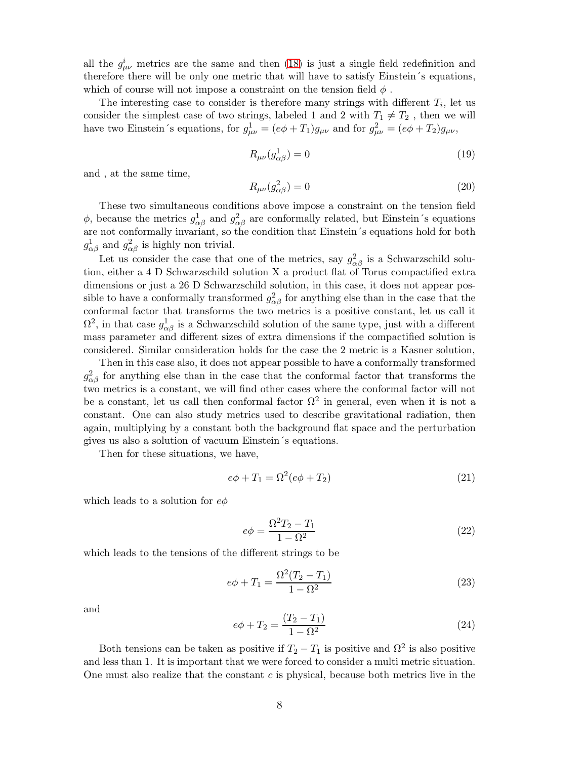all the  $g^i_{\mu\nu}$  metrics are the same and then [\(18\)](#page-6-0) is just a single field redefinition and therefore there will be only one metric that will have to satisfy Einstein´s equations, which of course will not impose a constraint on the tension field  $\phi$ .

The interesting case to consider is therefore many strings with different  $T_i$ , let us consider the simplest case of two strings, labeled 1 and 2 with  $T_1 \neq T_2$ , then we will have two Einstein's equations, for  $g_{\mu\nu}^1 = (e\phi + T_1)g_{\mu\nu}$  and for  $g_{\mu\nu}^2 = (e\phi + T_2)g_{\mu\nu}$ ,

$$
R_{\mu\nu}(g_{\alpha\beta}^1) = 0\tag{19}
$$

and , at the same time,

$$
R_{\mu\nu}(g_{\alpha\beta}^2) = 0\tag{20}
$$

These two simultaneous conditions above impose a constraint on the tension field  $\phi$ , because the metrics  $g^1_{\alpha\beta}$  and  $g^2_{\alpha\beta}$  are conformally related, but Einstein's equations are not conformally invariant, so the condition that Einstein´s equations hold for both  $g_{\alpha\beta}^1$  and  $g_{\alpha\beta}^2$  is highly non trivial.

Let us consider the case that one of the metrics, say  $g_{\alpha\beta}^2$  is a Schwarzschild solution, either a 4 D Schwarzschild solution X a product flat of Torus compactified extra dimensions or just a 26 D Schwarzschild solution, in this case, it does not appear possible to have a conformally transformed  $g_{\alpha\beta}^2$  for anything else than in the case that the conformal factor that transforms the two metrics is a positive constant, let us call it  $\Omega^2$ , in that case  $g^1_{\alpha\beta}$  is a Schwarzschild solution of the same type, just with a different mass parameter and different sizes of extra dimensions if the compactified solution is considered. Similar consideration holds for the case the 2 metric is a Kasner solution,

Then in this case also, it does not appear possible to have a conformally transformed  $g_{\alpha\beta}^2$  for anything else than in the case that the conformal factor that transforms the two metrics is a constant, we will find other cases where the conformal factor will not be a constant, let us call then conformal factor  $\Omega^2$  in general, even when it is not a constant. One can also study metrics used to describe gravitational radiation, then again, multiplying by a constant both the background flat space and the perturbation gives us also a solution of vacuum Einstein´s equations.

Then for these situations, we have,

$$
e\phi + T_1 = \Omega^2 (e\phi + T_2) \tag{21}
$$

which leads to a solution for  $e\phi$ 

$$
e\phi = \frac{\Omega^2 T_2 - T_1}{1 - \Omega^2} \tag{22}
$$

which leads to the tensions of the different strings to be

$$
e\phi + T_1 = \frac{\Omega^2 (T_2 - T_1)}{1 - \Omega^2} \tag{23}
$$

and

$$
e\phi + T_2 = \frac{(T_2 - T_1)}{1 - \Omega^2} \tag{24}
$$

Both tensions can be taken as positive if  $T_2 - T_1$  is positive and  $\Omega^2$  is also positive and less than 1. It is important that we were forced to consider a multi metric situation. One must also realize that the constant  $c$  is physical, because both metrics live in the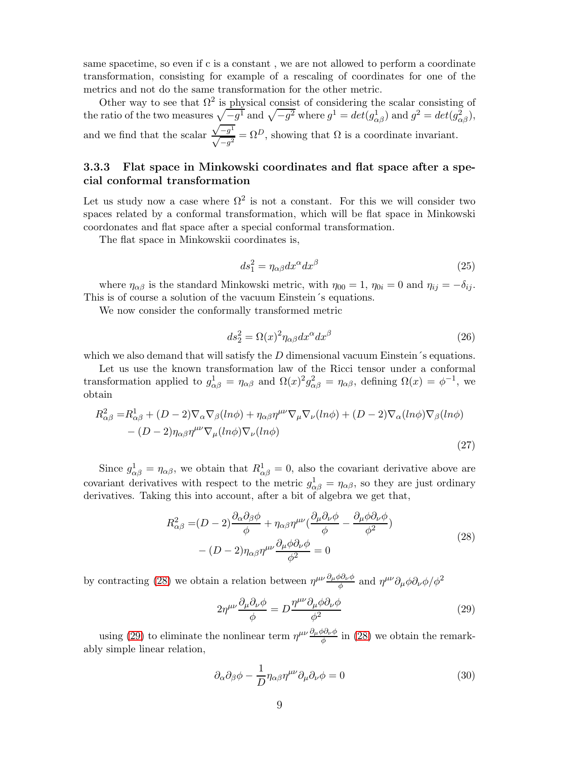same spacetime, so even if c is a constant , we are not allowed to perform a coordinate transformation, consisting for example of a rescaling of coordinates for one of the metrics and not do the same transformation for the other metric.

Other way to see that  $\Omega^2$  is physical consist of considering the scalar consisting of the ratio of the two measures  $\sqrt{-g^1}$  and  $\sqrt{-g^2}$  where  $g^1 = det(g^1_{\alpha\beta})$  and  $g^2 = det(g^2_{\alpha\beta})$ , and we find that the scalar  $\sqrt{-g^1}$  $\sqrt{-g}$  $\frac{1}{2} = \Omega^D$ , showing that  $\Omega$  is a coordinate invariant.

#### 3.3.3 Flat space in Minkowski coordinates and flat space after a special conformal transformation

Let us study now a case where  $\Omega^2$  is not a constant. For this we will consider two spaces related by a conformal transformation, which will be flat space in Minkowski coordonates and flat space after a special conformal transformation.

The flat space in Minkowskii coordinates is,

$$
ds_1^2 = \eta_{\alpha\beta} dx^{\alpha} dx^{\beta} \tag{25}
$$

where  $\eta_{\alpha\beta}$  is the standard Minkowski metric, with  $\eta_{00} = 1$ ,  $\eta_{0i} = 0$  and  $\eta_{ij} = -\delta_{ij}$ . This is of course a solution of the vacuum Einstein´s equations.

We now consider the conformally transformed metric

$$
ds_2^2 = \Omega(x)^2 \eta_{\alpha\beta} dx^{\alpha} dx^{\beta} \tag{26}
$$

which we also demand that will satisfy the  $D$  dimensional vacuum Einstein´s equations.

Let us use the known transformation law of the Ricci tensor under a conformal transformation applied to  $g_{\alpha\beta}^1 = \eta_{\alpha\beta}$  and  $\Omega(x)^2 g_{\alpha\beta}^2 = \eta_{\alpha\beta}$ , defining  $\Omega(x) = \phi^{-1}$ , we obtain

$$
R_{\alpha\beta}^{2} = R_{\alpha\beta}^{1} + (D - 2)\nabla_{\alpha}\nabla_{\beta}(ln\phi) + \eta_{\alpha\beta}\eta^{\mu\nu}\nabla_{\mu}\nabla_{\nu}(ln\phi) + (D - 2)\nabla_{\alpha}(ln\phi)\nabla_{\beta}(ln\phi) - (D - 2)\eta_{\alpha\beta}\eta^{\mu\nu}\nabla_{\mu}(ln\phi)\nabla_{\nu}(ln\phi)
$$
\n(27)

Since  $g_{\alpha\beta}^1 = \eta_{\alpha\beta}$ , we obtain that  $R_{\alpha\beta}^1 = 0$ , also the covariant derivative above are covariant derivatives with respect to the metric  $g_{\alpha\beta}^1 = \eta_{\alpha\beta}$ , so they are just ordinary derivatives. Taking this into account, after a bit of algebra we get that,

$$
R_{\alpha\beta}^{2} = (D - 2)\frac{\partial_{\alpha}\partial_{\beta}\phi}{\phi} + \eta_{\alpha\beta}\eta^{\mu\nu}(\frac{\partial_{\mu}\partial_{\nu}\phi}{\phi} - \frac{\partial_{\mu}\phi\partial_{\nu}\phi}{\phi^{2}}) - (D - 2)\eta_{\alpha\beta}\eta^{\mu\nu}\frac{\partial_{\mu}\phi\partial_{\nu}\phi}{\phi^{2}} = 0
$$
\n(28)

<span id="page-8-0"></span>by contracting [\(28\)](#page-8-0) we obtain a relation between  $\eta^{\mu\nu} \frac{\partial_\mu \phi \partial_\nu \phi}{\phi}$  and  $\eta^{\mu\nu} \partial_\mu \phi \partial_\nu \phi / \phi^2$ 

<span id="page-8-1"></span>
$$
2\eta^{\mu\nu}\frac{\partial_{\mu}\partial_{\nu}\phi}{\phi} = D\frac{\eta^{\mu\nu}\partial_{\mu}\phi\partial_{\nu}\phi}{\phi^2}
$$
 (29)

using [\(29\)](#page-8-1) to eliminate the nonlinear term  $\eta^{\mu\nu} \frac{\partial_{\mu}\phi \partial_{\nu}\phi}{\phi}$  in [\(28\)](#page-8-0) we obtain the remarkably simple linear relation,

<span id="page-8-2"></span>
$$
\partial_{\alpha}\partial_{\beta}\phi - \frac{1}{D}\eta_{\alpha\beta}\eta^{\mu\nu}\partial_{\mu}\partial_{\nu}\phi = 0
$$
\n(30)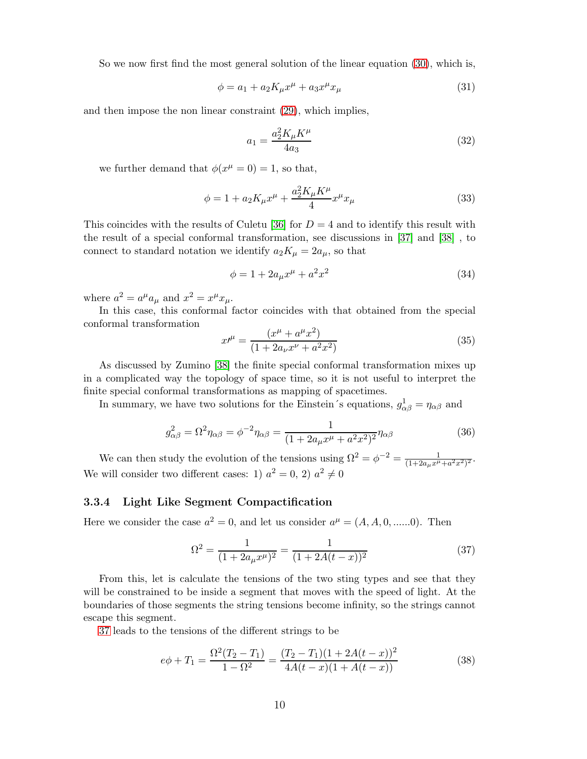So we now first find the most general solution of the linear equation [\(30\)](#page-8-2), which is,

$$
\phi = a_1 + a_2 K_\mu x^\mu + a_3 x^\mu x_\mu \tag{31}
$$

and then impose the non linear constraint [\(29\)](#page-8-1), which implies,

$$
a_1 = \frac{a_2^2 K_\mu K^\mu}{4a_3} \tag{32}
$$

we further demand that  $\phi(x^{\mu} = 0) = 1$ , so that,

$$
\phi = 1 + a_2 K_{\mu} x^{\mu} + \frac{a_2^2 K_{\mu} K^{\mu}}{4} x^{\mu} x_{\mu}
$$
\n(33)

This coincides with the results of Culetu [\[36\]](#page-14-7) for  $D = 4$  and to identify this result with the result of a special conformal transformation, see discussions in [\[37\]](#page-14-8) and [\[38\]](#page-14-9) , to connect to standard notation we identify  $a_2K_\mu = 2a_\mu$ , so that

$$
\phi = 1 + 2a_{\mu}x^{\mu} + a^2x^2 \tag{34}
$$

where  $a^2 = a^{\mu} a_{\mu}$  and  $x^2 = x^{\mu} x_{\mu}$ .

In this case, this conformal factor coincides with that obtained from the special conformal transformation

$$
x^{\mu} = \frac{(x^{\mu} + a^{\mu}x^2)}{(1 + 2a_{\nu}x^{\nu} + a^2x^2)}
$$
(35)

As discussed by Zumino [\[38\]](#page-14-9) the finite special conformal transformation mixes up in a complicated way the topology of space time, so it is not useful to interpret the finite special conformal transformations as mapping of spacetimes.

In summary, we have two solutions for the Einstein's equations,  $g_{\alpha\beta}^1 = \eta_{\alpha\beta}$  and

$$
g_{\alpha\beta}^{2} = \Omega^{2} \eta_{\alpha\beta} = \phi^{-2} \eta_{\alpha\beta} = \frac{1}{(1 + 2a_{\mu}x^{\mu} + a^{2}x^{2})^{2}} \eta_{\alpha\beta}
$$
(36)

We can then study the evolution of the tensions using  $\Omega^2 = \phi^{-2} = \frac{1}{(1+2a_\mu x^\mu + a^2 x^2)^2}$ . We will consider two different cases: 1)  $a^2 = 0$ , 2)  $a^2 \neq 0$ 

#### 3.3.4 Light Like Segment Compactification

Here we consider the case  $a^2 = 0$ , and let us consider  $a^{\mu} = (A, A, 0, \dots, 0)$ . Then

<span id="page-9-0"></span>
$$
\Omega^2 = \frac{1}{(1 + 2a_\mu x^\mu)^2} = \frac{1}{(1 + 2A(t - x))^2} \tag{37}
$$

From this, let is calculate the tensions of the two sting types and see that they will be constrained to be inside a segment that moves with the speed of light. At the boundaries of those segments the string tensions become infinity, so the strings cannot escape this segment.

[37](#page-9-0) leads to the tensions of the different strings to be

$$
e\phi + T_1 = \frac{\Omega^2 (T_2 - T_1)}{1 - \Omega^2} = \frac{(T_2 - T_1)(1 + 2A(t - x))^2}{4A(t - x)(1 + A(t - x))}
$$
(38)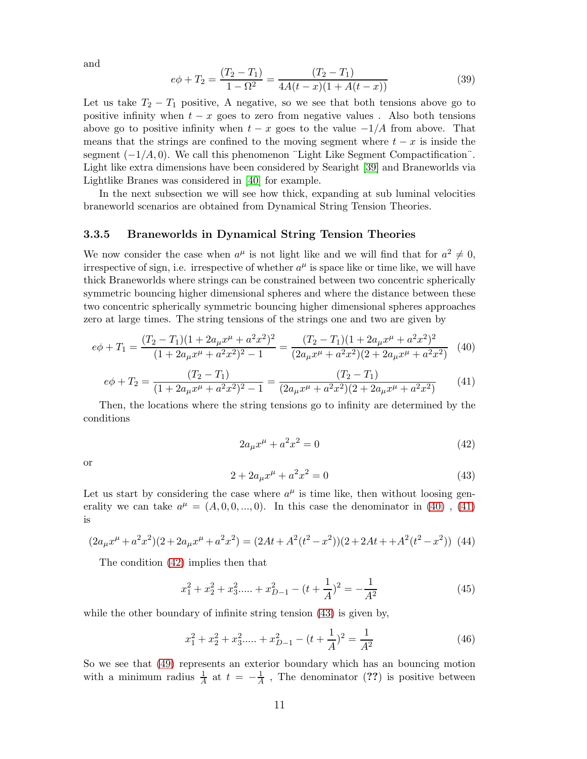and

$$
e\phi + T_2 = \frac{(T_2 - T_1)}{1 - \Omega^2} = \frac{(T_2 - T_1)}{4A(t - x)(1 + A(t - x))}
$$
(39)

Let us take  $T_2 - T_1$  positive, A negative, so we see that both tensions above go to positive infinity when  $t - x$  goes to zero from negative values. Also both tensions above go to positive infinity when  $t - x$  goes to the value  $-1/A$  from above. That means that the strings are confined to the moving segment where  $t - x$  is inside the segment  $(-1/A, 0)$ . We call this phenomenon "Light Like Segment Compactification". Light like extra dimensions have been considered by Searight [\[39\]](#page-14-10) and Braneworlds via Lightlike Branes was considered in [40] for example.

In the next subsection we will see how thick, expanding at sub luminal velocities braneworld scenarios are obtained from Dynamical String Tension Theories.

#### 3.3.5 Braneworlds in Dynamical String Tension Theories

We now consider the case when  $a^{\mu}$  is not light like and we will find that for  $a^2 \neq 0$ , irrespective of sign, i.e. irrespective of whether  $a^{\mu}$  is space like or time like, we will have thick Braneworlds where strings can be constrained between two concentric spherically symmetric bouncing higher dimensional spheres and where the distance between these two concentric spherically symmetric bouncing higher dimensional spheres approaches zero at large times. The string tensions of the strings one and two are given by

<span id="page-10-0"></span>
$$
e\phi + T_1 = \frac{(T_2 - T_1)(1 + 2a_\mu x^\mu + a^2 x^2)^2}{(1 + 2a_\mu x^\mu + a^2 x^2)^2 - 1} = \frac{(T_2 - T_1)(1 + 2a_\mu x^\mu + a^2 x^2)^2}{(2a_\mu x^\mu + a^2 x^2)(2 + 2a_\mu x^\mu + a^2 x^2)}
$$
(40)

<span id="page-10-1"></span>
$$
e\phi + T_2 = \frac{(T_2 - T_1)}{(1 + 2a_\mu x^\mu + a^2 x^2)^2 - 1} = \frac{(T_2 - T_1)}{(2a_\mu x^\mu + a^2 x^2)(2 + 2a_\mu x^\mu + a^2 x^2)}
$$
(41)

Then, the locations where the string tensions go to infinity are determined by the conditions

<span id="page-10-2"></span>
$$
2a_{\mu}x^{\mu} + a^2x^2 = 0 \tag{42}
$$

or

<span id="page-10-3"></span>
$$
2 + 2a_{\mu}x^{\mu} + a^2x^2 = 0 \tag{43}
$$

Let us start by considering the case where  $a^{\mu}$  is time like, then without loosing generality we can take  $a^{\mu} = (A, 0, 0, ..., 0)$ . In this case the denominator in [\(40\)](#page-10-0), [\(41\)](#page-10-1) is

$$
(2a_{\mu}x^{\mu} + a^2x^2)(2 + 2a_{\mu}x^{\mu} + a^2x^2) = (2At + A^2(t^2 - x^2))(2 + 2At + A^2(t^2 - x^2))
$$
 (44)

The condition [\(42\)](#page-10-2) implies then that

<span id="page-10-4"></span>
$$
x_1^2 + x_2^2 + x_3^2 + \dots + x_{D-1}^2 - (t + \frac{1}{A})^2 = -\frac{1}{A^2}
$$
 (45)

while the other boundary of infinite string tension  $(43)$  is given by,

$$
x_1^2 + x_2^2 + x_3^2 + \dots + x_{D-1}^2 - (t + \frac{1}{A})^2 = \frac{1}{A^2}
$$
 (46)

So we see that [\(49\)](#page-11-0) represents an exterior boundary which has an bouncing motion with a minimum radius  $\frac{1}{A}$  at  $t = -\frac{1}{A}$ , The denominator (??) is positive between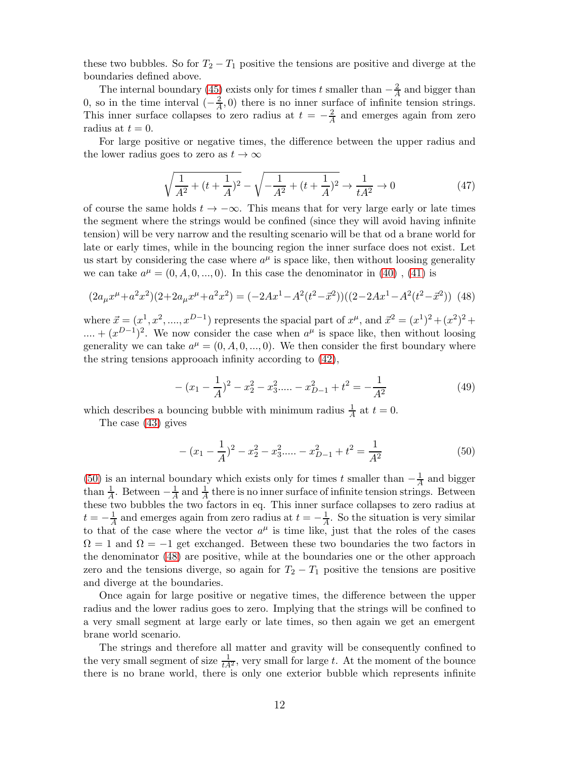these two bubbles. So for  $T_2 - T_1$  positive the tensions are positive and diverge at the boundaries defined above.

The internal boundary [\(45\)](#page-10-4) exists only for times t smaller than  $-\frac{2}{A}$  and bigger than 0, so in the time interval  $\left(-\frac{2}{A}\right)$  $\frac{2}{A}$ , 0) there is no inner surface of infinite tension strings. This inner surface collapses to zero radius at  $t = -\frac{2}{A}$  $\frac{2}{A}$  and emerges again from zero radius at  $t = 0$ .

For large positive or negative times, the difference between the upper radius and the lower radius goes to zero as  $t \to \infty$ 

$$
\sqrt{\frac{1}{A^2} + (t + \frac{1}{A})^2} - \sqrt{-\frac{1}{A^2} + (t + \frac{1}{A})^2} \to \frac{1}{tA^2} \to 0
$$
\n(47)

of course the same holds  $t \to -\infty$ . This means that for very large early or late times the segment where the strings would be confined (since they will avoid having infinite tension) will be very narrow and the resulting scenario will be that od a brane world for late or early times, while in the bouncing region the inner surface does not exist. Let us start by considering the case where  $a^{\mu}$  is space like, then without loosing generality we can take  $a^{\mu} = (0, A, 0, ..., 0)$ . In this case the denominator in [\(40\)](#page-10-0), [\(41\)](#page-10-1) is

<span id="page-11-2"></span>
$$
(2a_{\mu}x^{\mu} + a^2x^2)(2 + 2a_{\mu}x^{\mu} + a^2x^2) = (-2Ax^1 - A^2(t^2 - \vec{x}^2))((2 - 2Ax^1 - A^2(t^2 - \vec{x}^2))
$$
(48)

where  $\vec{x} = (x^1, x^2, \dots, x^{D-1})$  represents the spacial part of  $x^{\mu}$ , and  $\vec{x}^2 = (x^1)^2 + (x^2)^2 + (x^2)^2$  $\dots + (x^{D-1})^2$ . We now consider the case when  $a^{\mu}$  is space like, then without loosing generality we can take  $a^{\mu} = (0, A, 0, ..., 0)$ . We then consider the first boundary where the string tensions approoach infinity according to [\(42\)](#page-10-2),

<span id="page-11-0"></span>
$$
-(x_1 - \frac{1}{A})^2 - x_2^2 - x_3^2 \dots - x_{D-1}^2 + t^2 = -\frac{1}{A^2}
$$
 (49)

which describes a bouncing bubble with minimum radius  $\frac{1}{A}$  at  $t = 0$ .

The case [\(43\)](#page-10-3) gives

<span id="page-11-1"></span>
$$
-(x_1 - \frac{1}{A})^2 - x_2^2 - x_3^2 \dots - x_{D-1}^2 + t^2 = \frac{1}{A^2}
$$
\n<sup>(50)</sup>

[\(50\)](#page-11-1) is an internal boundary which exists only for times t smaller than  $-\frac{1}{A}$  and bigger than  $\frac{1}{A}$ . Between  $-\frac{1}{A}$  and  $\frac{1}{A}$  there is no inner surface of infinite tension strings. Between these two bubbles the two factors in eq. This inner surface collapses to zero radius at  $t=-\frac{1}{A}$  $\frac{1}{A}$  and emerges again from zero radius at  $t = -\frac{1}{A}$  $\frac{1}{A}$ . So the situation is very similar to that of the case where the vector  $a^{\mu}$  is time like, just that the roles of the cases  $\Omega = 1$  and  $\Omega = -1$  get exchanged. Between these two boundaries the two factors in the denominator [\(48\)](#page-11-2) are positive, while at the boundaries one or the other approach zero and the tensions diverge, so again for  $T_2 - T_1$  positive the tensions are positive and diverge at the boundaries.

Once again for large positive or negative times, the difference between the upper radius and the lower radius goes to zero. Implying that the strings will be confined to a very small segment at large early or late times, so then again we get an emergent brane world scenario.

The strings and therefore all matter and gravity will be consequently confined to the very small segment of size  $\frac{1}{tA^2}$ , very small for large t. At the moment of the bounce there is no brane world, there is only one exterior bubble which represents infinite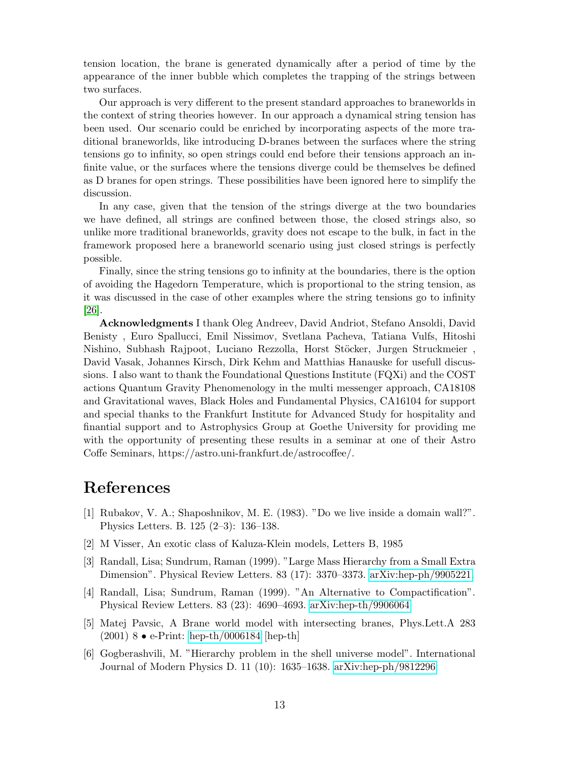tension location, the brane is generated dynamically after a period of time by the appearance of the inner bubble which completes the trapping of the strings between two surfaces.

Our approach is very different to the present standard approaches to braneworlds in the context of string theories however. In our approach a dynamical string tension has been used. Our scenario could be enriched by incorporating aspects of the more traditional braneworlds, like introducing D-branes between the surfaces where the string tensions go to infinity, so open strings could end before their tensions approach an infinite value, or the surfaces where the tensions diverge could be themselves be defined as D branes for open strings. These possibilities have been ignored here to simplify the discussion.

In any case, given that the tension of the strings diverge at the two boundaries we have defined, all strings are confined between those, the closed strings also, so unlike more traditional braneworlds, gravity does not escape to the bulk, in fact in the framework proposed here a braneworld scenario using just closed strings is perfectly possible.

Finally, since the string tensions go to infinity at the boundaries, there is the option of avoiding the Hagedorn Temperature, which is proportional to the string tension, as it was discussed in the case of other examples where the string tensions go to infinity [\[26\]](#page-13-18).

Acknowledgments I thank Oleg Andreev, David Andriot, Stefano Ansoldi, David Benisty , Euro Spallucci, Emil Nissimov, Svetlana Pacheva, Tatiana Vulfs, Hitoshi Nishino, Subhash Rajpoot, Luciano Rezzolla, Horst Stöcker, Jurgen Struckmeier, David Vasak, Johannes Kirsch, Dirk Kehm and Matthias Hanauske for usefull discussions. I also want to thank the Foundational Questions Institute (FQXi) and the COST actions Quantum Gravity Phenomenology in the multi messenger approach, CA18108 and Gravitational waves, Black Holes and Fundamental Physics, CA16104 for support and special thanks to the Frankfurt Institute for Advanced Study for hospitality and finantial support and to Astrophysics Group at Goethe University for providing me with the opportunity of presenting these results in a seminar at one of their Astro Coffe Seminars, https://astro.uni-frankfurt.de/astrocoffee/.

# <span id="page-12-0"></span>References

- [1] Rubakov, V. A.; Shaposhnikov, M. E. (1983). "Do we live inside a domain wall?". Physics Letters. B. 125 (2–3): 136–138.
- <span id="page-12-2"></span><span id="page-12-1"></span>[2] M Visser, An exotic class of Kaluza-Klein models, Letters B, 1985
- [3] Randall, Lisa; Sundrum, Raman (1999). "Large Mass Hierarchy from a Small Extra Dimension". Physical Review Letters. 83 (17): 3370–3373. [arXiv:hep-ph/9905221.](http://arxiv.org/abs/hep-ph/9905221)
- <span id="page-12-3"></span>[4] Randall, Lisa; Sundrum, Raman (1999). "An Alternative to Compactification". Physical Review Letters. 83 (23): 4690–4693. [arXiv:hep-th/9906064](http://arxiv.org/abs/hep-th/9906064)
- <span id="page-12-4"></span>[5] Matej Pavsic, A Brane world model with intersecting branes, Phys.Lett.A 283 (2001) 8 • e-Print: [hep-th/0006184](http://arxiv.org/abs/hep-th/0006184) [hep-th]
- <span id="page-12-5"></span>[6] Gogberashvili, M. "Hierarchy problem in the shell universe model". International Journal of Modern Physics D. 11 (10): 1635–1638. [arXiv:hep-ph/9812296](http://arxiv.org/abs/hep-ph/9812296)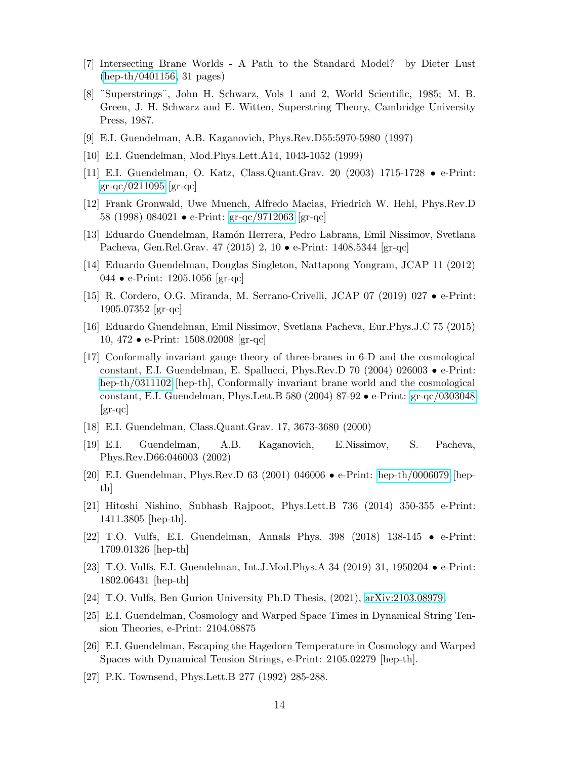- <span id="page-13-0"></span>[7] Intersecting Brane Worlds - A Path to the Standard Model? by Dieter Lust [\(hep-th/0401156,](http://arxiv.org/abs/hep-th/0401156) 31 pages)
- [8] ¨Superstrings¨, John H. Schwarz, Vols 1 and 2, World Scientific, 1985; M. B. Green, J. H. Schwarz and E. Witten, Superstring Theory, Cambridge University Press, 1987.
- <span id="page-13-2"></span><span id="page-13-1"></span>[9] E.I. Guendelman, A.B. Kaganovich, Phys.Rev.D55:5970-5980 (1997)
- <span id="page-13-4"></span>[10] E.I. Guendelman, Mod.Phys.Lett.A14, 1043-1052 (1999)
- <span id="page-13-3"></span>[11] E.I. Guendelman, O. Katz, Class.Quant.Grav. 20 (2003) 1715-1728 • e-Print: [gr-qc/0211095](http://arxiv.org/abs/gr-qc/0211095)  $|gr-qc|$
- <span id="page-13-5"></span>[12] Frank Gronwald, Uwe Muench, Alfredo Macias, Friedrich W. Hehl, Phys.Rev.D 58 (1998) 084021 • e-Print: [gr-qc/9712063](http://arxiv.org/abs/gr-qc/9712063) [gr-qc]
- <span id="page-13-6"></span>[13] Eduardo Guendelman, Ram´on Herrera, Pedro Labrana, Emil Nissimov, Svetlana Pacheva, Gen.Rel.Grav. 47 (2015) 2, 10 • e-Print: 1408.5344 [gr-qc]
- <span id="page-13-7"></span>[14] Eduardo Guendelman, Douglas Singleton, Nattapong Yongram, JCAP 11 (2012) 044 • e-Print: 1205.1056 [gr-qc]
- <span id="page-13-8"></span>[15] R. Cordero, O.G. Miranda, M. Serrano-Crivelli, JCAP 07 (2019) 027 • e-Print: 1905.07352 [gr-qc]
- [16] Eduardo Guendelman, Emil Nissimov, Svetlana Pacheva, Eur.Phys.J.C 75 (2015) 10, 472 • e-Print: 1508.02008 [gr-qc]
- [17] Conformally invariant gauge theory of three-branes in 6-D and the cosmological constant, E.I. Guendelman, E. Spallucci, Phys.Rev.D 70 (2004) 026003 • e-Print: [hep-th/0311102](http://arxiv.org/abs/hep-th/0311102) [hep-th], Conformally invariant brane world and the cosmological constant, E.I. Guendelman, Phys.Lett.B 580 (2004) 87-92 • e-Print: [gr-qc/0303048](http://arxiv.org/abs/gr-qc/0303048) [gr-qc]
- <span id="page-13-10"></span><span id="page-13-9"></span>[18] E.I. Guendelman, Class.Quant.Grav. 17, 3673-3680 (2000)
- <span id="page-13-11"></span>[19] E.I. Guendelman, A.B. Kaganovich, E.Nissimov, S. Pacheva, Phys.Rev.D66:046003 (2002)
- <span id="page-13-12"></span>[20] E.I. Guendelman, Phys.Rev.D 63 (2001) 046006 • e-Print: [hep-th/0006079](http://arxiv.org/abs/hep-th/0006079) [hepth]
- [21] Hitoshi Nishino, Subhash Rajpoot, Phys.Lett.B 736 (2014) 350-355 e-Print: 1411.3805 [hep-th].
- <span id="page-13-13"></span>[22] T.O. Vulfs, E.I. Guendelman, Annals Phys. 398 (2018) 138-145 • e-Print: 1709.01326 [hep-th]
- <span id="page-13-15"></span><span id="page-13-14"></span>[23] T.O. Vulfs, E.I. Guendelman, Int.J.Mod.Phys.A 34 (2019) 31, 1950204 • e-Print: 1802.06431 [hep-th]
- <span id="page-13-16"></span>[24] T.O. Vulfs, Ben Gurion University Ph.D Thesis, (2021), [arXiv:2103.08979.](http://arxiv.org/abs/2103.08979)
- [25] E.I. Guendelman, Cosmology and Warped Space Times in Dynamical String Tension Theories, e-Print: 2104.08875
- <span id="page-13-18"></span>[26] E.I. Guendelman, Escaping the Hagedorn Temperature in Cosmology and Warped Spaces with Dynamical Tension Strings, e-Print: 2105.02279 [hep-th].
- <span id="page-13-17"></span>[27] P.K. Townsend, Phys.Lett.B 277 (1992) 285-288.